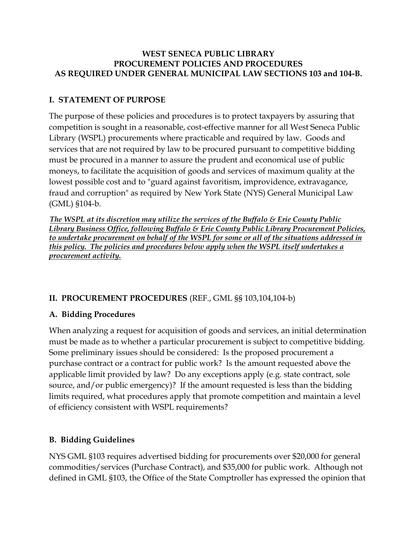### **WEST SENECA PUBLIC LIBRARY PROCUREMENT POLICIES AND PROCEDURES AS REQUIRED UNDER GENERAL MUNICIPAL LAW SECTIONS 103 and 104-B.**

# **I. STATEMENT OF PURPOSE**

The purpose of these policies and procedures is to protect taxpayers by assuring that competition is sought in a reasonable, cost-effective manner for all West Seneca Public Library (WSPL) procurements where practicable and required by law. Goods and services that are not required by law to be procured pursuant to competitive bidding must be procured in a manner to assure the prudent and economical use of public moneys, to facilitate the acquisition of goods and services of maximum quality at the lowest possible cost and to "guard against favoritism, improvidence, extravagance, fraud and corruption" as required by New York State (NYS) General Municipal Law (GML) §104-b.

*The WSPL at its discretion may utilize the services of the Buffalo & Erie County Public Library Business Office, following Buffalo & Erie County Public Library Procurement Policies, to undertake procurement on behalf of the WSPL for some or all of the situations addressed in this policy. The policies and procedures below apply when the WSPL itself undertakes a procurement activity.*

# **II. PROCUREMENT PROCEDURES** (REF., GML §§ 103,104,104-b)

## **A. Bidding Procedures**

When analyzing a request for acquisition of goods and services, an initial determination must be made as to whether a particular procurement is subject to competitive bidding. Some preliminary issues should be considered: Is the proposed procurement a purchase contract or a contract for public work? Is the amount requested above the applicable limit provided by law? Do any exceptions apply (e.g. state contract, sole source, and/or public emergency)? If the amount requested is less than the bidding limits required, what procedures apply that promote competition and maintain a level of efficiency consistent with WSPL requirements?

# **B. Bidding Guidelines**

NYS GML §103 requires advertised bidding for procurements over \$20,000 for general commodities/services (Purchase Contract), and \$35,000 for public work. Although not defined in GML §103, the Office of the State Comptroller has expressed the opinion that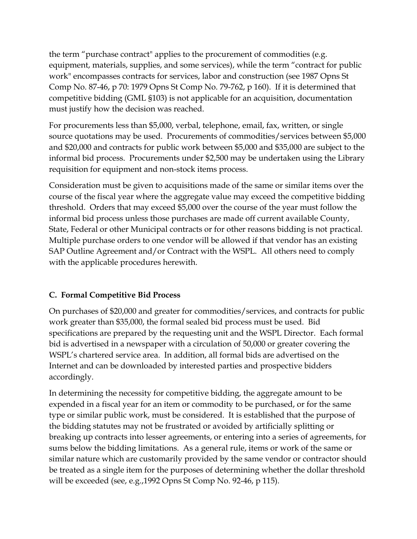the term "purchase contract" applies to the procurement of commodities (e.g. equipment, materials, supplies, and some services), while the term "contract for public work" encompasses contracts for services, labor and construction (see 1987 Opns St Comp No. 87-46, p 70: 1979 Opns St Comp No. 79-762, p 160). If it is determined that competitive bidding (GML §103) is not applicable for an acquisition, documentation must justify how the decision was reached.

For procurements less than \$5,000, verbal, telephone, email, fax, written, or single source quotations may be used. Procurements of commodities/services between \$5,000 and \$20,000 and contracts for public work between \$5,000 and \$35,000 are subject to the informal bid process. Procurements under \$2,500 may be undertaken using the Library requisition for equipment and non-stock items process.

Consideration must be given to acquisitions made of the same or similar items over the course of the fiscal year where the aggregate value may exceed the competitive bidding threshold. Orders that may exceed \$5,000 over the course of the year must follow the informal bid process unless those purchases are made off current available County, State, Federal or other Municipal contracts or for other reasons bidding is not practical. Multiple purchase orders to one vendor will be allowed if that vendor has an existing SAP Outline Agreement and/or Contract with the WSPL. All others need to comply with the applicable procedures herewith.

# **C. Formal Competitive Bid Process**

On purchases of \$20,000 and greater for commodities/services, and contracts for public work greater than \$35,000, the formal sealed bid process must be used. Bid specifications are prepared by the requesting unit and the WSPL Director. Each formal bid is advertised in a newspaper with a circulation of 50,000 or greater covering the WSPL's chartered service area. In addition, all formal bids are advertised on the Internet and can be downloaded by interested parties and prospective bidders accordingly.

In determining the necessity for competitive bidding, the aggregate amount to be expended in a fiscal year for an item or commodity to be purchased, or for the same type or similar public work, must be considered. It is established that the purpose of the bidding statutes may not be frustrated or avoided by artificially splitting or breaking up contracts into lesser agreements, or entering into a series of agreements, for sums below the bidding limitations. As a general rule, items or work of the same or similar nature which are customarily provided by the same vendor or contractor should be treated as a single item for the purposes of determining whether the dollar threshold will be exceeded (see, e.g.,1992 Opns St Comp No. 92-46, p 115).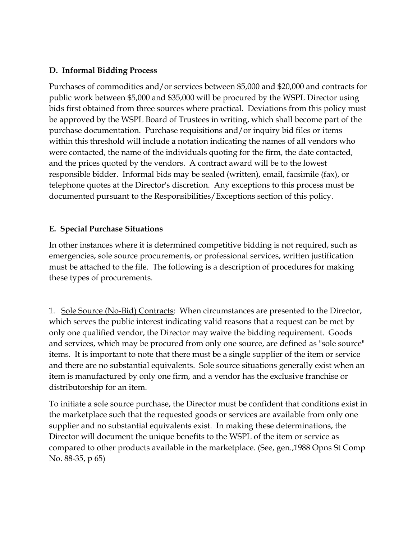## **D. Informal Bidding Process**

Purchases of commodities and/or services between \$5,000 and \$20,000 and contracts for public work between \$5,000 and \$35,000 will be procured by the WSPL Director using bids first obtained from three sources where practical. Deviations from this policy must be approved by the WSPL Board of Trustees in writing, which shall become part of the purchase documentation. Purchase requisitions and/or inquiry bid files or items within this threshold will include a notation indicating the names of all vendors who were contacted, the name of the individuals quoting for the firm, the date contacted, and the prices quoted by the vendors. A contract award will be to the lowest responsible bidder. Informal bids may be sealed (written), email, facsimile (fax), or telephone quotes at the Director's discretion. Any exceptions to this process must be documented pursuant to the Responsibilities/Exceptions section of this policy.

### **E. Special Purchase Situations**

In other instances where it is determined competitive bidding is not required, such as emergencies, sole source procurements, or professional services, written justification must be attached to the file. The following is a description of procedures for making these types of procurements.

1. Sole Source (No-Bid) Contracts: When circumstances are presented to the Director, which serves the public interest indicating valid reasons that a request can be met by only one qualified vendor, the Director may waive the bidding requirement. Goods and services, which may be procured from only one source, are defined as "sole source" items. It is important to note that there must be a single supplier of the item or service and there are no substantial equivalents. Sole source situations generally exist when an item is manufactured by only one firm, and a vendor has the exclusive franchise or distributorship for an item.

To initiate a sole source purchase, the Director must be confident that conditions exist in the marketplace such that the requested goods or services are available from only one supplier and no substantial equivalents exist. In making these determinations, the Director will document the unique benefits to the WSPL of the item or service as compared to other products available in the marketplace. (See, gen.,1988 Opns St Comp No. 88-35, p 65)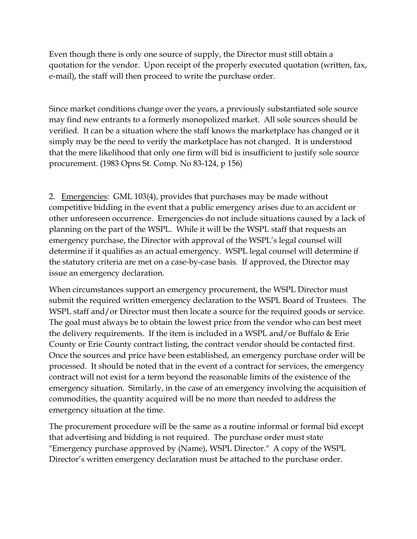Even though there is only one source of supply, the Director must still obtain a quotation for the vendor. Upon receipt of the properly executed quotation (written, fax, e-mail), the staff will then proceed to write the purchase order.

Since market conditions change over the years, a previously substantiated sole source may find new entrants to a formerly monopolized market. All sole sources should be verified. It can be a situation where the staff knows the marketplace has changed or it simply may be the need to verify the marketplace has not changed. It is understood that the mere likelihood that only one firm will bid is insufficient to justify sole source procurement. (1983 Opns St. Comp. No 83-124, p 156)

2. Emergencies: GML 103(4), provides that purchases may be made without competitive bidding in the event that a public emergency arises due to an accident or other unforeseen occurrence. Emergencies do not include situations caused by a lack of planning on the part of the WSPL. While it will be the WSPL staff that requests an emergency purchase, the Director with approval of the WSPL's legal counsel will determine if it qualifies as an actual emergency. WSPL legal counsel will determine if the statutory criteria are met on a case-by-case basis. If approved, the Director may issue an emergency declaration.

When circumstances support an emergency procurement, the WSPL Director must submit the required written emergency declaration to the WSPL Board of Trustees. The WSPL staff and/or Director must then locate a source for the required goods or service. The goal must always be to obtain the lowest price from the vendor who can best meet the delivery requirements. If the item is included in a WSPL and/or Buffalo & Erie County or Erie County contract listing, the contract vendor should be contacted first. Once the sources and price have been established, an emergency purchase order will be processed. It should be noted that in the event of a contract for services, the emergency contract will not exist for a term beyond the reasonable limits of the existence of the emergency situation. Similarly, in the case of an emergency involving the acquisition of commodities, the quantity acquired will be no more than needed to address the emergency situation at the time.

The procurement procedure will be the same as a routine informal or formal bid except that advertising and bidding is not required. The purchase order must state "Emergency purchase approved by (Name), WSPL Director." A copy of the WSPL Director's written emergency declaration must be attached to the purchase order.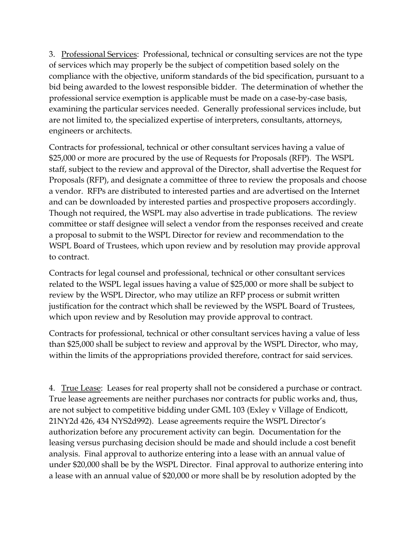3. Professional Services: Professional, technical or consulting services are not the type of services which may properly be the subject of competition based solely on the compliance with the objective, uniform standards of the bid specification, pursuant to a bid being awarded to the lowest responsible bidder. The determination of whether the professional service exemption is applicable must be made on a case-by-case basis, examining the particular services needed. Generally professional services include, but are not limited to, the specialized expertise of interpreters, consultants, attorneys, engineers or architects.

Contracts for professional, technical or other consultant services having a value of \$25,000 or more are procured by the use of Requests for Proposals (RFP). The WSPL staff, subject to the review and approval of the Director, shall advertise the Request for Proposals (RFP), and designate a committee of three to review the proposals and choose a vendor. RFPs are distributed to interested parties and are advertised on the Internet and can be downloaded by interested parties and prospective proposers accordingly. Though not required, the WSPL may also advertise in trade publications. The review committee or staff designee will select a vendor from the responses received and create a proposal to submit to the WSPL Director for review and recommendation to the WSPL Board of Trustees, which upon review and by resolution may provide approval to contract.

Contracts for legal counsel and professional, technical or other consultant services related to the WSPL legal issues having a value of \$25,000 or more shall be subject to review by the WSPL Director, who may utilize an RFP process or submit written justification for the contract which shall be reviewed by the WSPL Board of Trustees, which upon review and by Resolution may provide approval to contract.

Contracts for professional, technical or other consultant services having a value of less than \$25,000 shall be subject to review and approval by the WSPL Director, who may, within the limits of the appropriations provided therefore, contract for said services.

4. True Lease: Leases for real property shall not be considered a purchase or contract. True lease agreements are neither purchases nor contracts for public works and, thus, are not subject to competitive bidding under GML 103 (Exley v Village of Endicott, 21NY2d 426, 434 NYS2d992). Lease agreements require the WSPL Director's authorization before any procurement activity can begin. Documentation for the leasing versus purchasing decision should be made and should include a cost benefit analysis. Final approval to authorize entering into a lease with an annual value of under \$20,000 shall be by the WSPL Director. Final approval to authorize entering into a lease with an annual value of \$20,000 or more shall be by resolution adopted by the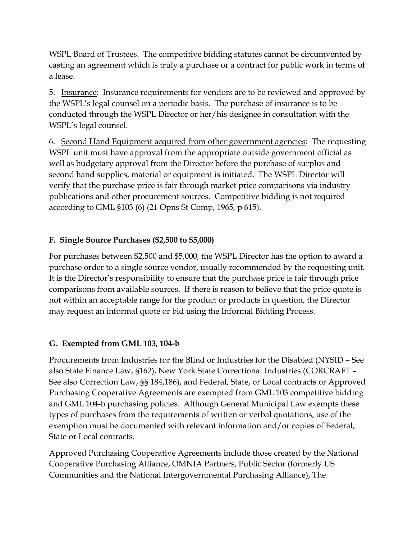WSPL Board of Trustees. The competitive bidding statutes cannot be circumvented by casting an agreement which is truly a purchase or a contract for public work in terms of a lease.

5. Insurance: Insurance requirements for vendors are to be reviewed and approved by the WSPL's legal counsel on a periodic basis. The purchase of insurance is to be conducted through the WSPL Director or her/his designee in consultation with the WSPL's legal counsel.

6. Second Hand Equipment acquired from other government agencies: The requesting WSPL unit must have approval from the appropriate outside government official as well as budgetary approval from the Director before the purchase of surplus and second hand supplies, material or equipment is initiated. The WSPL Director will verify that the purchase price is fair through market price comparisons via industry publications and other procurement sources. Competitive bidding is not required according to GML §103 (6) (21 Opns St Comp, 1965, p 615).

# **F. Single Source Purchases (\$2,500 to \$5,000)**

For purchases between \$2,500 and \$5,000, the WSPL Director has the option to award a purchase order to a single source vendor, usually recommended by the requesting unit. It is the Director's responsibility to ensure that the purchase price is fair through price comparisons from available sources. If there is reason to believe that the price quote is not within an acceptable range for the product or products in question, the Director may request an informal quote or bid using the Informal Bidding Process.

# **G. Exempted from GML 103, 104-b**

Procurements from Industries for the Blind or Industries for the Disabled (NYSID – See also State Finance Law, §162), New York State Correctional Industries (CORCRAFT – See also Correction Law, §§ 184,186), and Federal, State, or Local contracts or Approved Purchasing Cooperative Agreements are exempted from GML 103 competitive bidding and GML 104-b purchasing policies. Although General Municipal Law exempts these types of purchases from the requirements of written or verbal quotations, use of the exemption must be documented with relevant information and/or copies of Federal, State or Local contracts.

Approved Purchasing Cooperative Agreements include those created by the National Cooperative Purchasing Alliance, OMNIA Partners, Public Sector (formerly US Communities and the National Intergovernmental Purchasing Alliance), The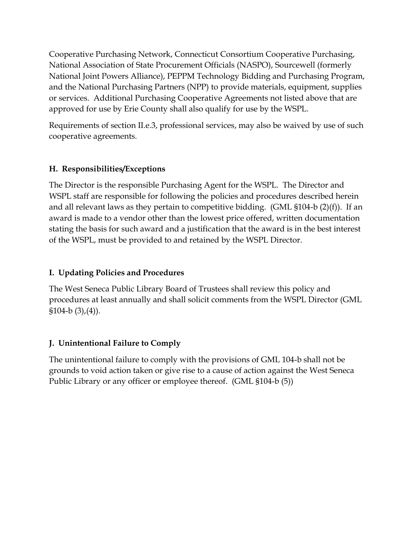Cooperative Purchasing Network, Connecticut Consortium Cooperative Purchasing, National Association of State Procurement Officials (NASPO), Sourcewell (formerly National Joint Powers Alliance), PEPPM Technology Bidding and Purchasing Program, and the National Purchasing Partners (NPP) to provide materials, equipment, supplies or services. Additional Purchasing Cooperative Agreements not listed above that are approved for use by Erie County shall also qualify for use by the WSPL.

Requirements of section II.e.3, professional services, may also be waived by use of such cooperative agreements.

# **H. Responsibilities/Exceptions**

The Director is the responsible Purchasing Agent for the WSPL. The Director and WSPL staff are responsible for following the policies and procedures described herein and all relevant laws as they pertain to competitive bidding. (GML  $$104-b (2)(f)$ ). If an award is made to a vendor other than the lowest price offered, written documentation stating the basis for such award and a justification that the award is in the best interest of the WSPL, must be provided to and retained by the WSPL Director.

# **I. Updating Policies and Procedures**

The West Seneca Public Library Board of Trustees shall review this policy and procedures at least annually and shall solicit comments from the WSPL Director (GML  $$104-b (3),(4)$ ).

# **J. Unintentional Failure to Comply**

The unintentional failure to comply with the provisions of GML 104-b shall not be grounds to void action taken or give rise to a cause of action against the West Seneca Public Library or any officer or employee thereof. (GML §104-b (5))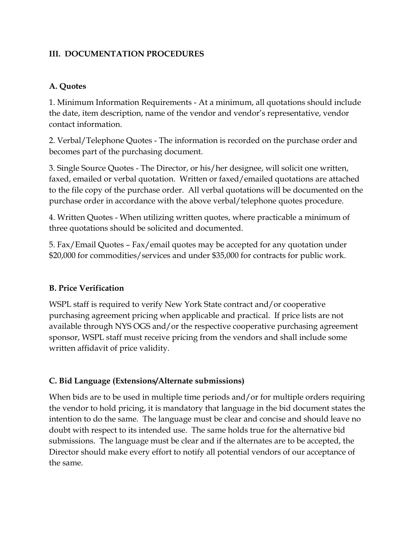## **III. DOCUMENTATION PROCEDURES**

## **A. Quotes**

1. Minimum Information Requirements - At a minimum, all quotations should include the date, item description, name of the vendor and vendor's representative, vendor contact information.

2. Verbal/Telephone Quotes - The information is recorded on the purchase order and becomes part of the purchasing document.

3. Single Source Quotes - The Director, or his/her designee, will solicit one written, faxed, emailed or verbal quotation. Written or faxed/emailed quotations are attached to the file copy of the purchase order. All verbal quotations will be documented on the purchase order in accordance with the above verbal/telephone quotes procedure.

4. Written Quotes - When utilizing written quotes, where practicable a minimum of three quotations should be solicited and documented.

5. Fax/Email Quotes – Fax/email quotes may be accepted for any quotation under \$20,000 for commodities/services and under \$35,000 for contracts for public work.

## **B. Price Verification**

WSPL staff is required to verify New York State contract and/or cooperative purchasing agreement pricing when applicable and practical. If price lists are not available through NYS OGS and/or the respective cooperative purchasing agreement sponsor, WSPL staff must receive pricing from the vendors and shall include some written affidavit of price validity.

# **C. Bid Language (Extensions/Alternate submissions)**

When bids are to be used in multiple time periods and/or for multiple orders requiring the vendor to hold pricing, it is mandatory that language in the bid document states the intention to do the same. The language must be clear and concise and should leave no doubt with respect to its intended use. The same holds true for the alternative bid submissions. The language must be clear and if the alternates are to be accepted, the Director should make every effort to notify all potential vendors of our acceptance of the same.